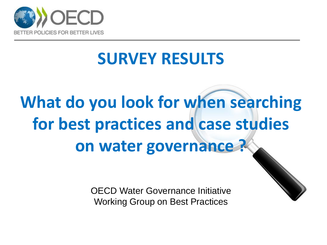

## **SURVEY RESULTS**

# **What do you look for when searching for best practices and case studies on water governance ?**

OECD Water Governance Initiative Working Group on Best Practices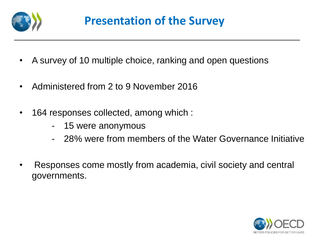

- A survey of 10 multiple choice, ranking and open questions
- Administered from 2 to 9 November 2016
- 164 responses collected, among which :
	- 15 were anonymous
	- 28% were from members of the Water Governance Initiative
- Responses come mostly from academia, civil society and central governments.

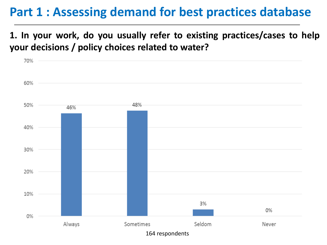## **Part 1 : Assessing demand for best practices database**

**1. In your work, do you usually refer to existing practices/cases to help your decisions / policy choices related to water?**

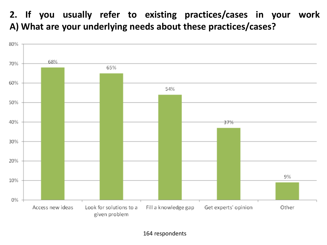**2. If you usually refer to existing practices/cases in your work A) What are your underlying needs about these practices/cases?**

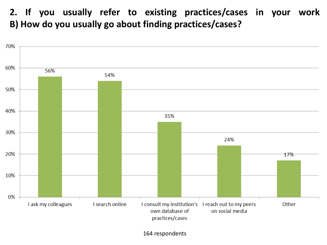**2. If you usually refer to existing practices/cases in your work B) How do you usually go about finding practices/cases?**

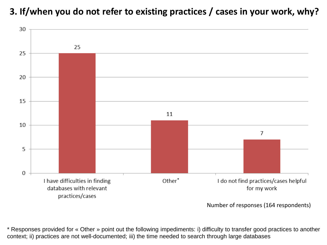**3. If/when you do not refer to existing practices / cases in your work, why?**



Number of responses (164 respondents)

\* Responses provided for « Other » point out the following impediments: i) difficulty to transfer good practices to another context; ii) practices are not well-documented; iii) the time needed to search through large databases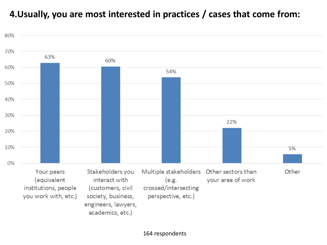#### **4.Usually, you are most interested in practices / cases that come from:**

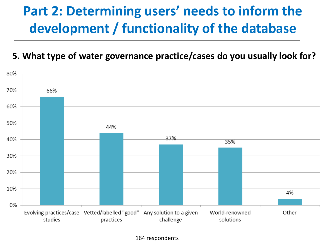## **Part 2: Determining users' needs to inform the development / functionality of the database**

#### **5. What type of water governance practice/cases do you usually look for?**

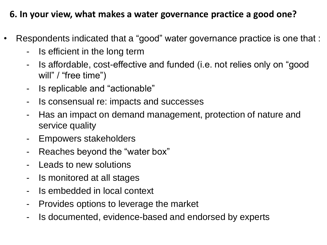#### **6. In your view, what makes a water governance practice a good one?**

- Respondents indicated that a "good" water governance practice is one that :
	- Is efficient in the long term
	- Is affordable, cost-effective and funded (i.e. not relies only on "good will" / "free time")
	- Is replicable and "actionable"
	- Is consensual re: impacts and successes
	- Has an impact on demand management, protection of nature and service quality
	- Empowers stakeholders
	- Reaches beyond the "water box"
	- Leads to new solutions
	- Is monitored at all stages
	- Is embedded in local context
	- Provides options to leverage the market
	- Is documented, evidence-based and endorsed by experts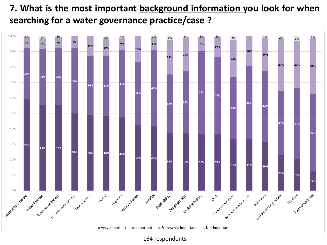#### **7. What is the most important background information you look for when searching for a water governance practice/case ?**



<sup>164</sup> respondents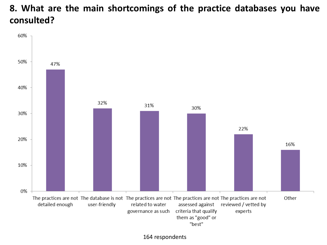#### **8. What are the main shortcomings of the practice databases you have consulted?**

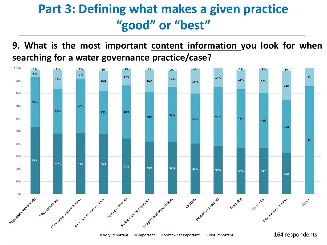## **Part 3: Defining what makes a given practice "good" or "best"**

**9. What is the most important content information you look for when searching for a water governance practice/case?**

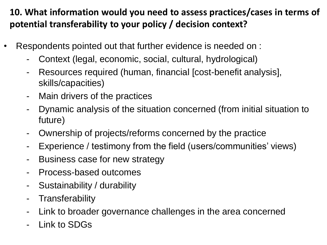### **10. What information would you need to assess practices/cases in terms of potential transferability to your policy / decision context?**

- Respondents pointed out that further evidence is needed on :
	- Context (legal, economic, social, cultural, hydrological)
	- Resources required (human, financial [cost-benefit analysis], skills/capacities)
	- Main drivers of the practices
	- Dynamic analysis of the situation concerned (from initial situation to future)
	- Ownership of projects/reforms concerned by the practice
	- Experience / testimony from the field (users/communities' views)
	- Business case for new strategy
	- Process-based outcomes
	- Sustainability / durability
	- Transferability
	- Link to broader governance challenges in the area concerned
	- Link to SDGs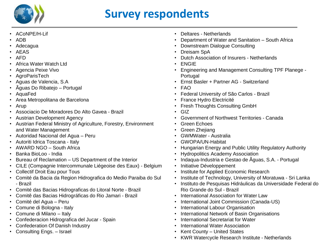

## **Survey respondents**

- ACoNPE/H-Lif
- ADB
- Adecagua
- AEAS
- AFD
- Africa Water Watch Ltd
- Agencia Peixe Vivo
- AgroParisTech
- Aguas de Valencia, S.A
- Ãguas Do Ribatejo Portugal
- AquaFed
- Area Metropolitana de Barcelona
- Arup
- Associacio De Moradores Do Alto Gavea Brazil
- Austrian Development Agency
- Austrian Federal Ministry of Agriculture, Forestry, Environment and Water Management
- Autoridad Nacional del Agua Peru
- Autoriti Idrica Toscana Italy
- AWARD NGO South Africa
- Banka BioLoo India
- Bureau of Reclamation US Department of the Interior
- CILE (Compagnie Intercommunale Liégeoise des Eaux) Belgium
- Collectif Droit Eau pour Tous
- Comité da Bacia da Region Hidrografica do Medio Paraiba do Sul - Brazil
- Comité das Bacias Hidrograficas do Litoral Norte Brazil
- Comitê das Bacias Hidrográficas do Rio Jamari Brazil
- Comité del Agua Peru
- Comune di Bologna Italy
- Comune di Milano Italy
- Confederacion Hidrografica del Jucar Spain
- Confederation Of Danish Industry
- Consulting Engs. Israel
- Deltares Netherlands
- Department of Water and Sanitation South Africa
- Downstream Dialogue Consulting
- Dreisam SpA
- Dutch Association of Insurers Netherlands
- ENGIE
- Engineering and Management Consulting TPF Planege Portugal
- Ernst Basler + Partner AG Switzerland
- FAO
- Federal University of São Carlos Brazil
- France Hydro Electricité
- Fresh Thoughts Consulting GmbH
- GIZ
- Government of Northwest Territories Canada
- Green Echoes
- Green Zhejiang
- GWMWater Australia
- GWOPA/UN-Habitat
- Hungarian Energy and Public Utility Regulatory Authority
- Hydropolitics Academy Association
- Indaqua-Industria e Gestao de Ãguas, S.A. Portugal
- Initiative Développement
- Institute for Applied Economic Research
- Institute of Technology, University of Moratuwa Sri Lanka
- Instituto de Pesquisas Hidráulicas da Universidade Federal do Rio Grande do Sul - Brazil
- International Association for Water Law
- International Joint Commission (Canada-US)
- International Labour Organisation
- International Network of Basin Organisations
- International Secretariat for Water
- International Water Association
- Kent County United States
- KWR Watercycle Research Institute Netherlands